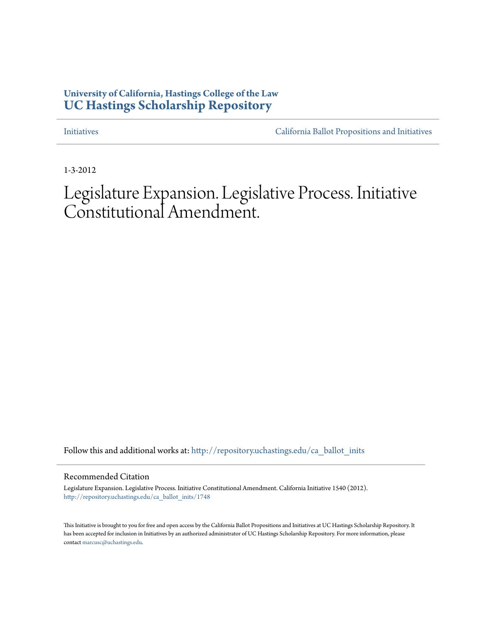# **University of California, Hastings College of the Law [UC Hastings Scholarship Repository](http://repository.uchastings.edu?utm_source=repository.uchastings.edu%2Fca_ballot_inits%2F1748&utm_medium=PDF&utm_campaign=PDFCoverPages)**

[Initiatives](http://repository.uchastings.edu/ca_ballot_inits?utm_source=repository.uchastings.edu%2Fca_ballot_inits%2F1748&utm_medium=PDF&utm_campaign=PDFCoverPages) [California Ballot Propositions and Initiatives](http://repository.uchastings.edu/ca_ballots?utm_source=repository.uchastings.edu%2Fca_ballot_inits%2F1748&utm_medium=PDF&utm_campaign=PDFCoverPages)

1-3-2012

Legislature Expansion. Legislative Process. Initiative Constitutional Amendment.

Follow this and additional works at: [http://repository.uchastings.edu/ca\\_ballot\\_inits](http://repository.uchastings.edu/ca_ballot_inits?utm_source=repository.uchastings.edu%2Fca_ballot_inits%2F1748&utm_medium=PDF&utm_campaign=PDFCoverPages)

Recommended Citation

Legislature Expansion. Legislative Process. Initiative Constitutional Amendment. California Initiative 1540 (2012). [http://repository.uchastings.edu/ca\\_ballot\\_inits/1748](http://repository.uchastings.edu/ca_ballot_inits/1748?utm_source=repository.uchastings.edu%2Fca_ballot_inits%2F1748&utm_medium=PDF&utm_campaign=PDFCoverPages)

This Initiative is brought to you for free and open access by the California Ballot Propositions and Initiatives at UC Hastings Scholarship Repository. It has been accepted for inclusion in Initiatives by an authorized administrator of UC Hastings Scholarship Repository. For more information, please contact [marcusc@uchastings.edu](mailto:marcusc@uchastings.edu).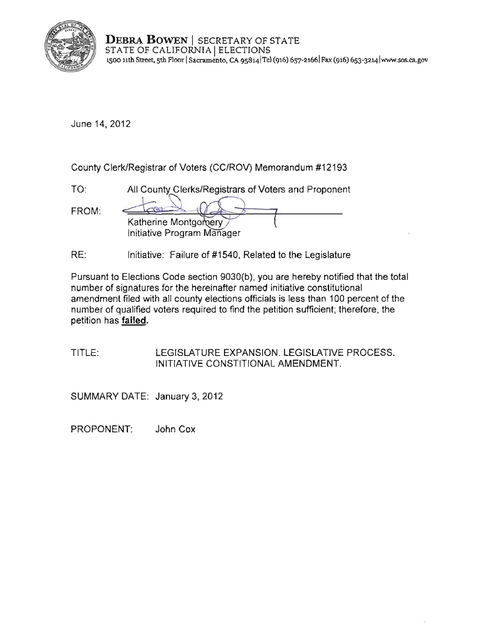

**DEBRA BOWEN** | SECRETARY OF STATE STATE OF CALIFORNIA | ELECTIONS **1500 nth Street, 5th F100r ISacramento, CA 9S8141Tel (916) 657·21661Fax (916) 653-3214 lwww.sos.ca.gov** 

June 14, 2012

County Clerk/Registrar of Voters (CC/ROV) Memorandum #12193

| TO:   | All County Clerks/Registrars of Voters and Proponent |
|-------|------------------------------------------------------|
| FROM: | Katherine Montgomery<br>Initiative Program Manager   |

RE: Initiative: Failure of #1540, Related to the Legislature

Pursuant to Elections Code section 9030(b), you are hereby notified that the total number of signatures for the hereinafter named initiative constitutional amendment filed with all county elections officials is less than 100 percent of the number of qualified voters required to find the petition sufficient; therefore, the petition has **failed.** 

TITLE: LEGISLATURE EXPANSION. LEGISLATIVE PROCESS. INITIATIVE CONSTITIONAL AMENDMENT.

SUMMARY DATE: January 3, 2012

PROPONENT: John Cox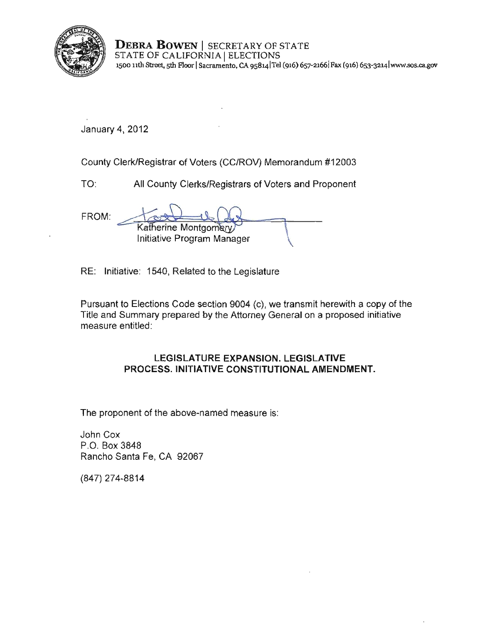

**DEBRA BOWEN** I SECRETARY OF STATE STATE OF CALIFORNIA | ELECTIONS **1500 11th Street, 5th Floor ISacramento, CA 9s8141Tel (916) 657-21661 Fax (916) 653-3214lwww.sos.ca.gov** 

January 4,2012

County Clerk/Registrar of Voters (CC/ROV) Memorandum #12003

TO: All County Clerks/Registrars of Voters and Proponent

FROM: Katherine Montgomery Initiative Program Manager

RE: Initiative: 1540, Related to the Legislature

Pursuant to Elections Code section 9004 (c), we transmit herewith a copy of the Title and Summary prepared by the Attorney General on a proposed initiative measure entitled:

# **LEGISLATURE EXPANSION. LEGISLATIVE** PROCESS. INITIATIVE **CONSTITUTIONAL AMENDMENT.**

The proponent of the above-named measure is:

John Cox P.O. Box 3848 Rancho Santa Fe, CA 92067

(847) 274-8814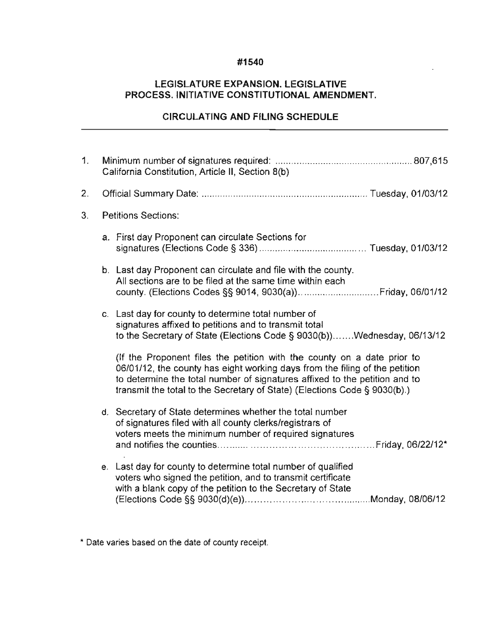# **#1540**

# **LEGISLATURE EXPANSION. LEGISLATIVE** PROCESS. INITIATIVE **CONSTITUTIONAL AMENDMENT.**

# **CIRCULATING AND FILING SCHEDULE**

| 1 <sub>r</sub> | California Constitution, Article II, Section 8(b) |                                                                                                                                                                                                                                                                                                                   |  |
|----------------|---------------------------------------------------|-------------------------------------------------------------------------------------------------------------------------------------------------------------------------------------------------------------------------------------------------------------------------------------------------------------------|--|
| 2.             |                                                   |                                                                                                                                                                                                                                                                                                                   |  |
| 3.             |                                                   | <b>Petitions Sections:</b>                                                                                                                                                                                                                                                                                        |  |
|                |                                                   | a. First day Proponent can circulate Sections for                                                                                                                                                                                                                                                                 |  |
|                |                                                   | b. Last day Proponent can circulate and file with the county.<br>All sections are to be filed at the same time within each                                                                                                                                                                                        |  |
|                |                                                   | c. Last day for county to determine total number of<br>signatures affixed to petitions and to transmit total<br>to the Secretary of State (Elections Code § 9030(b))Wednesday, 06/13/12                                                                                                                           |  |
|                |                                                   | (If the Proponent files the petition with the county on a date prior to<br>06/01/12, the county has eight working days from the filing of the petition<br>to determine the total number of signatures affixed to the petition and to<br>transmit the total to the Secretary of State) (Elections Code § 9030(b).) |  |
|                |                                                   | d. Secretary of State determines whether the total number<br>of signatures filed with all county clerks/registrars of<br>voters meets the minimum number of required signatures                                                                                                                                   |  |
|                |                                                   | e. Last day for county to determine total number of qualified<br>voters who signed the petition, and to transmit certificate<br>with a blank copy of the petition to the Secretary of State                                                                                                                       |  |

**... Date varies based on the date of county receipt.**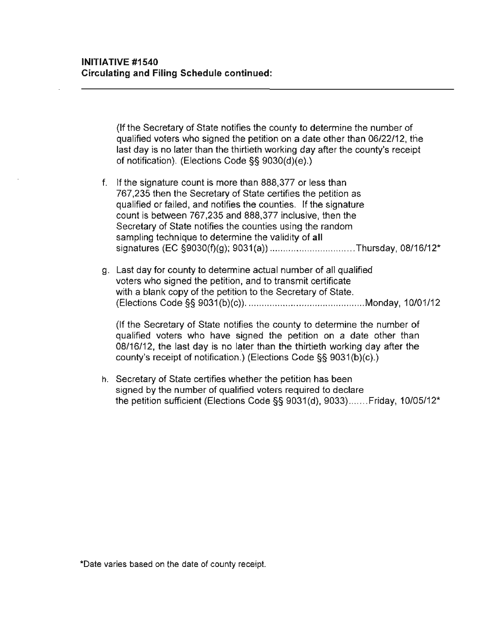(If the Secretary of State notifies the county to determine the number of qualified voters who signed the petition on a date other than 06/22/12, the last day is no later than the thirtieth working day after the county's receipt of notification). (Elections Code §§ 9030(d)(e).)

- f. If the signature count is more than 888,377 or less than 767,235 then the Secretary of State certifies the petition as qualified or failed, and notifies the counties. If the signature count is between 767,235 and 888,377 inclusive, then the Secretary of State notifies the counties using the random sampling technique to determine the validity of **all**  signatures (EC §9030(f)(g); 9031 (a)) ................................ Thursday, 08/16/12'
- g. Last day for county to determine actual number of all qualified voters who signed the petition, and to transmit certificate with a blank copy of the petition to the Secretary of State. (Elections Code §§ 9031(b)(c)) ............................................. Monday, 10101/12

(If the Secretary of State notifies the county to determine the number of qualified voters who have signed the petition on a date other than 08/16/12, the last day is no later than the thirtieth working day after the county's receipt of notification.) (Elections Code §§ 9031 (b)(c).)

h. Secretary of State certifies whether the petition has been **signed by the number of qualified voters required to declare**  the petition sufficient (Elections Code §§ 9031 (d), 9033) ....... Friday, 10105/12'

**\*Date varies based on the date of county receipt.**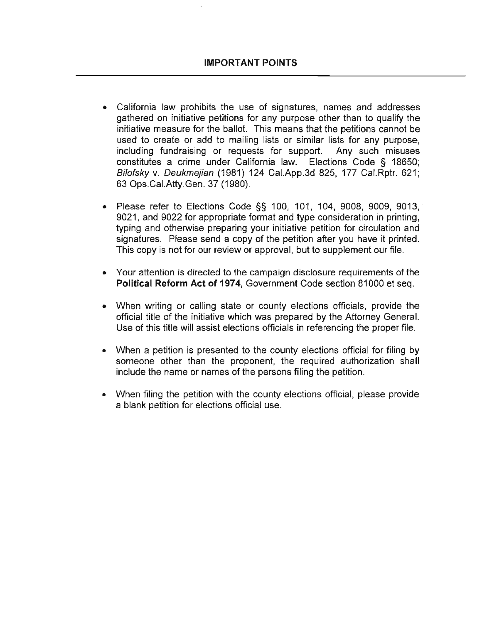- **California law prohibits the use of signatures, names and addresses**  gathered on initiative petitions for any purpose other than to qualify the initiative measure for the ballot. This means that the petitions cannot be used to create or add to mailing lists or similar lists for any purpose, including fundraising or requests for support. Any such misuses constitutes a crime under California law. Elections Code § 18650; Bilofsky v. Deukmejian (1981) 124 Cal.App.3d 825, 177 Cal.Rptr. 621; 63 Ops.CaI.Atty.Gen. 37 (1980).
- Please refer to Elections Code §§ 100, 101, 104, 9008, 9009, 9013, 9021, and 9022 for appropriate format and type consideration in printing, typing and otherwise preparing your initiative petition for circulation and signatures. Please send a copy of the petition after you have it printed. This copy is not for our review or approval, but to supplement our file.
- **Your attention is directed to the campaign disclosure requirements of the Political Reform Act of 1974,** Government Code section 81000 et seq.
- When writing or calling state or county elections officials, provide the official title of the initiative which was prepared by the Attorney General. Use of this title will assist elections officials in referencing the proper file.
- When a petition is presented to the county elections official for filing by someone other than the proponent, the required authorization shall include the name or names of the persons filing the petition.
- When filing the petition with the county elections official, please provide a blank petition for elections official use.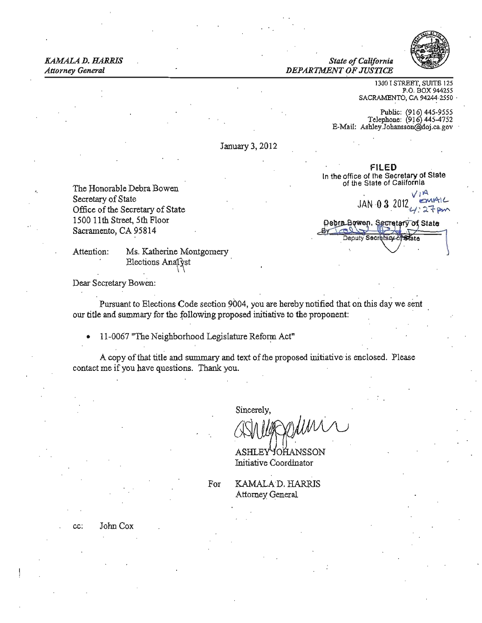### **KAMALA D. HARRIS** State of California *Attorney General DEPARTMENT OF JUSTICE*



1300 I STREET, SUITE 125 P.O. BOX 944255 SACRAMENTO, CA 94244·2550 .

Public: (916) 445-9555 Telephone: (916) 445–4752 E-Mail: Ashley.Johansson@doj.ca.gov

January 3, 2012

The Honorable Debra Bowen . VIA<br>Secretary of State JAN 0 3 2012 *MA*<br>Office of the Secretary of State 1.500.114. Channel State 1.500.114. Channel State 1.500.114. Channel State 1. 1500 11th Street, 5th Floor Debra Bowen, Secretary of State Sacramento. CA 95814 Sacramento, CA 95814

Attention: Ms. Katherine Montgomery Elections Analyst

Dear Secretary Bowen:

Pursuant to Elections Code section 9004. you are hereby notified that on this day we sent our title and summary for the followmg proposed initiative to the proponent:

11-0067 "The Neighborhood Legislature Reform Act"

A copy of that title and summary and text of the proposed initiative-is enclosed. Please contact me if you have questions. Thank you.

Sincerely,

 $\lim_{\Lambda}$ 

ASHLEY MOHANSSON Initiative Coordinator

For **KAMALAD. HARRIS** Attorney General

cc; John Cox

FILED In the office of the Secretary of State of the Slate of California

**Deputy Secretsry State**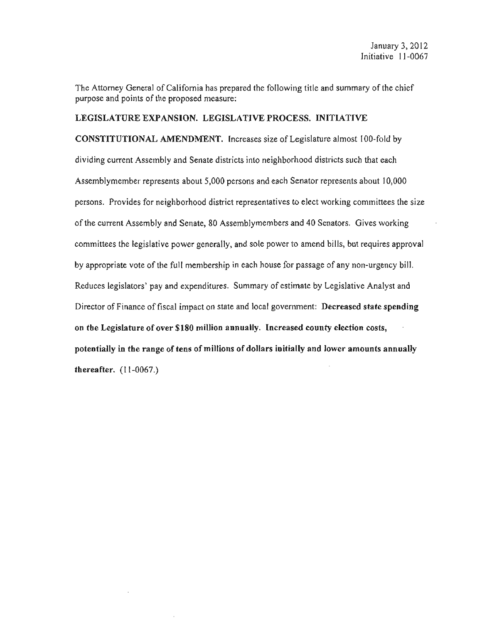The Attorney General of California has prepared the following title and summary of the chief purpose and points of the proposed measure:

## LEGISLATURE EXPANSION. LEGISLATIVE PROCESS. INITIATIVE

CONSTITUTIONAL AMENDMENT. Increases size of Legislature almost IDO-fold by dividing current Assembly and Senate districts into neighborhood districts such that each Assemblymember represents about 5,000 persons and each Senator represents about 10,000· persons. Provides for neighborhood district representatives to elect working committees the size of the current Assembly and Senate, 80 Assemblymembers and 40 Senators. Gives working committees the legislative power generally, and sole power to amend bills, but requires approval by appropriate vote of the full membership in each house for passage of any non-urgency bill. Reduces legislators' pay and expenditures. Summary of estimate by Legislative Analyst and Director of Finance of fiscal impact on state and local government: Decreased state spending on the Legislature of over \$180 million annually. Increased county election costs, potentially in the range of tens of millions of dollars initially and lower amounts annually thereafter. (11-0067.)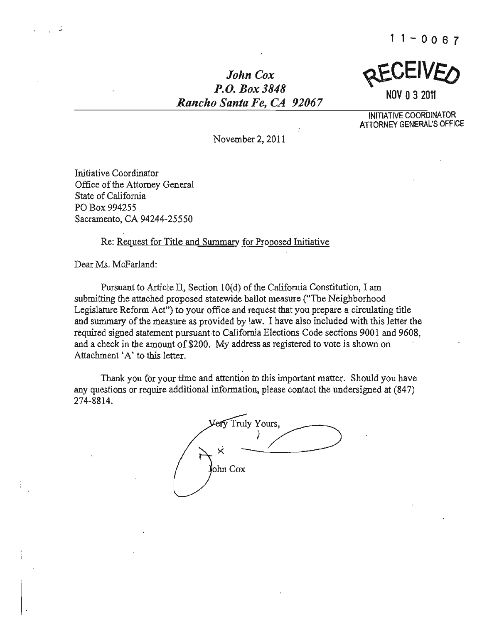**11 - 0067** 

*John Cox* **¢.CEIVED** 

# *P.O. Box 3848* **NOV 0 3 2011** *Rancho Santa Fe, CA 92067*

INITIATIVE COORDINATOR ATIORNEY GENERAL'S OfFICE

November 2, 2011

**Initiative Coordinator**  Office of the Attorney General State of California PO Box 994255 Sacramento, CA 94244·25550

## Re: Request for Title and Swnmarv for Proposed Initiative

Dear Ms. McFarland:

Pursuant to Article II, Section 10(d) of the California Constitution, I am submitting the attached proposed statewide ballot measure ("The Neighborhood Legislature Reform Act") to your office and request that you prepare a circulating title and summary of the measure as provided by law. I have also included with this letter the required signed statement pursuant to California Elections Code sections 9001 and 9608, and a check in the amount of \$200. My address as registered to vote is shown on Attachment 'A' to this letter.

Thank you for your time and attention to this important matter. Should you have any questions or require additional information, please contact the undersigned at (847) 274-8814.

Truly Yours,  $\dot{\mathbf{x}}$ John Cox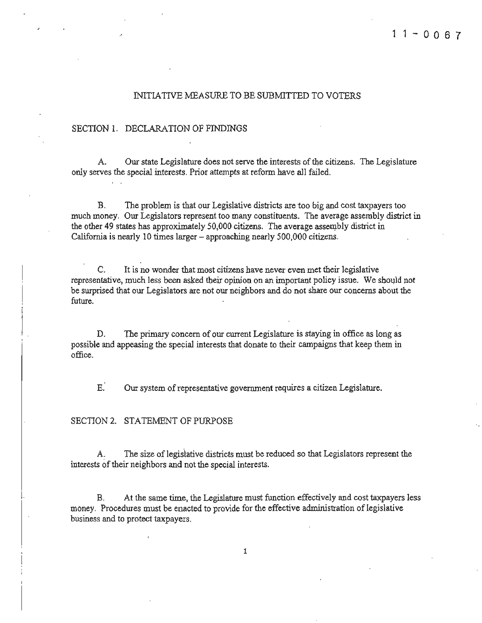#### INITIATIVE MEASURE TO BE SUBMITTED TO VOTERS

#### SECTION I. DECLARATION OF FINDINGS

A. Our state Legislature does not serve the interests of the citizens. The Legislature only serves the special interests. Prior attempts at reform have all failed.

B. The problem is that our Legislative districts are too big and cost taxpayers too much money. Our Legislators represent too many constituents. The average assembly district in the other 49 states has approximately 50,000 citizens. The average assembly district in California is nearly 10 times larger - approaching nearly 500,000 citizens.

C. It is no wonder that most citizens have never even met their legislative representative, much less been asked their opinion on an important policy issue. We should not be surprised that our Legislators are not our neighbors and do not share our concerns about the future.

D. The primary concern of our current Legislature is staying in office as long as possible and appeasing the special interests that donate to their campaigns that keep them in office.

E. Our system of representative government requires a citizen Legislature.

#### SECTION 2. STATEMENT OF PURPOSE

A. The size of legisiative districts must be reduced so that Legislators represent the interests of their neighbors and not the special interests.

B. At the same time, the Legislature must function effectively and cost taxpayers less money. Procedures must be enacted to provide for the effective administration of legislative business and to protect taxpayers.

1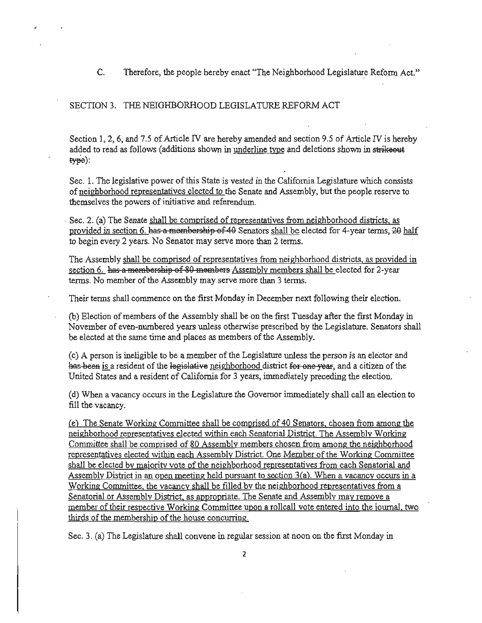C. Therefore, the people hereby enact "The Neighborhood Legislature Reform Act."

## SECTION 3. THE NEIGHBORHOOD LEGISLATURE REFORM ACT

Section 1, 2, 6, and 7.5 of Article IV are hereby amended and section 9.5 of Article IV is hereby added to read as follows (additions shown in underline type and deletions shown in strikeout !yjie):

Sec. 1. The legislative power of this State is vested in the California Legislature which consists of neighborhood representatives elected to the Senate and Assembly, but the people reserve to themselves the powers of initiative and referendum.

Sec. 2. (a) The Senate shall be comprised of representatives from neighborhood districts, as provided in section 6. has a membership of 40 Senators shall be elected for 4-year terms, 20 half to begin every 2 years. No Senator may serve more than 2 terms.

The Assembly shall be comprised of representatives from neighborhood districts, as provided in section 6. has a membership of 80 members Assembly members shall be elected for 2-year terms. No member of the Assembly may serve more than 3 terms.

Their terms shall commence on the first Monday in December next following their election.

(b) Election of members of the Assembly shall be on the first Tuesday after the first Monday in November of even-numbered years unless otherwise prescribed by the Legislature. Senators shall be elected at the same time and places as members of the Assembly.

(c) A person is ineligible to be a member ofthe Legislature unless the person is an elector and has-been is a resident of the legislative neighborhood district for one year, and a citizen of the United States and a resident of California for 3 years, immediately preceding the election.

(d) When a vacancy occurs in the Legislarore the Governor immediately shall call an election to fill the vacancy.

(e) The Senate Working Committee shall be comprised of40 Senators, chosen from among the neighborhood representatives elected within each Senatorial District. The Assembly Working Committee shall be comprised of 80 Assembly members chosen from among the neighborhood representatives elected within each Assembly District. One Member of the Working Committee shall be elected by majority vote of the neighborhood representatives from each Senatorial and Assembly District in an open meeting held pursuant to section 3(a). When a vacancy occurs in a Working Committee, the vacancy shall be filled by the neighborhood representatives from a Senatorial or Assembly District. as appropriate. The Senate and Assembly may remove a member of their respective Working Committee upon a rollcall vote entered into the journal, two thirds of the membership of the house concurring.

Sec. 3. (a) The Legislature shall convene in regular session at noon on the first Monday in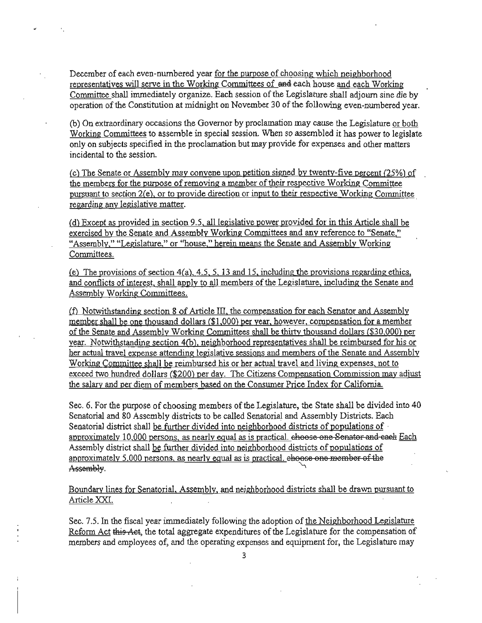December of each even-numbered year for the purpose of choosing which neighborhood representatives will serve in the Working Committees of and each house and each Working Committee shall immediately organize. Each session of the Legislature shall adjourn sine die by operation of the Constitution at midnight on November 30 of the following even-numbered year.

(b) On extraordinary occasions the Governor by proclamation may cause the Legislature or both Working Committees to assemble in special session. When so assembled it has power to legislate only on subjects specified in the proclamation but may provide for expenses and other matters incidental to the session.

(c) The Senate or Assembly may convene upon petition signed by twenty-five percent (25%) of the members for the purpose of removing a member of their respective Working Committee pursuant to section 2(e). or to provide direction or input to their respective Working Committee regarding any legislative matter.

(d) Except as provided in section 9.5. all legislative power provided for in this Article shall be exercised by the Senate and Assembly Working Committees and any reference to "Senate." "Assembly," "Legislature," or "house," herein means the Senate and Assembly Working Committees.

(e) The provisions of section  $4(a)$ ,  $4.5$ ,  $5$ , 13 and 15, including the provisions regarding ethics, and conflicts of interest, shall apply to all members of the Legislature, including the Senate and Assembly Working Committees.

 $(f)$  Notwithstanding section 8 of Article III, the compensation for each Senator and Assembly member shall be one thousand dollars (\$1.000) per year. however. compensation for a member of the Senate and Assembly Working Committees shall be thirty thousand dollars (\$30,000) per year. Notwithstanding section 4(b). neighborhood representatives shall be reimbursed for his or her actual travel expense attending legislative sessions and members of the Senate and Assembly Working Committee shall be reimbursed his or her actual travel and living expenses. not to exceed two hundred dollars (\$200) per day. The Citizens Compensation Commission may adjust the salary and per diem of members based on the Consumer Price Index for California.

Sec. 6. For the purpose of choosing members of the Legislature, the State shall be divided into 40 Senatorial and 80 Assembly districts to be called Senatorial and Assembly Districts. Each Senatorial district shall be further divided into neighborhood districts of populations of approximately 10,000 persons, as nearly equal as is practical. choose one Senator and each Each Assembly district shall be further divided into neighborhood districts of populations of approximately 5.000 persons, as nearly equal as is practical, choose one member of the Assembly.

Boundary lines for Senatorial. Assembly, and neighborhood districts shall be drawn pursuant to Article XXI.

Sec. 7.5. In the fiscal year immediately following the adoption of the Neighborhood Legislature Reform Act this Act, the total aggregate expenditures of the Legislature for the compensation of members and employees of, and the operating expenses and equipment for, the Legislature may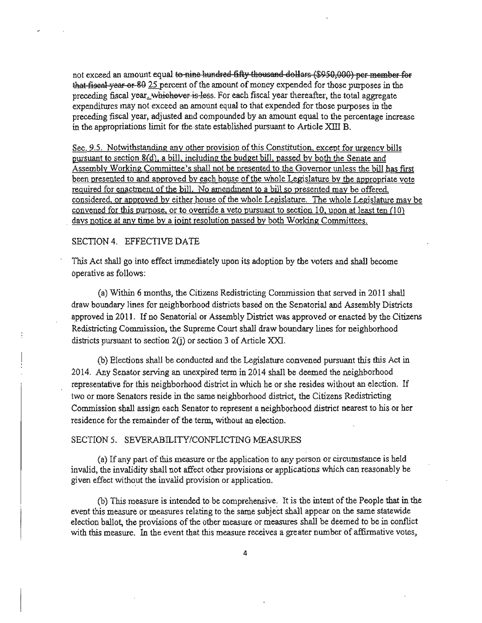not exceed an amount equal to nine hundred fifty thousand dollars (\$950,000) per member for that fiscal year or  $80\,25$  percent of the amount of money expended for those purposes in the preceding fiscal year. whichever is less. For each fiscal year thereafter, the total aggregate expenditures may not exceed an amount equal to that expended for those purposes in the preceding fiscal year, adjusted and compounded by an amount equal to the percentage increase in the appropriations limit for the state established pursuant to Article XIII B.

Sec. 9.5. Notwithstanding any other provision of this Constitution, except for urgency bills pursuant to section 8(d), a bill, including the budget bill, passed by both the Senate and Assembly Working Committee's shall not be presented to the Governor unless the bill has first been presented to and approved by each house of the whole Legislature by the appropriate vote required for enactment of the bill. No amendment to a bill so presented may be offered. considered. or approved by either house of the whole Legislature. The whole Legislature may be convened for this purpose, or to override a veto pursuant to section 10, upon at least ten  $(10)$ days notice at any time by a joint resolution passed by both Working Committees.

#### SECTION 4. EFFECTIVE DATE

This Act shall go into effect immediately upon its adoption by the voters and shall become operative as follows:

(a) Within 6 months, the Citizens Redistricting Commission that served in 2011 shall draw boundary lines for neighborhood districts based on the Senatorial and Assembly Districts approved in 2011. If no Senatorial or Assembly District was approved or enacted by the Citizens Redistricting Commission, the Supreme Court shall draw boundary lines for neighborhood districts pursuant to section  $2(i)$  or section 3 of Article XXI.

(b) Elections shall be conducted and the Legislature convened pursuant this this Act in 2014. Any Senator serving an unexpired term in 2014 shall be deemed the neighborhood representative for this neighborhood district in which he or she resides without an election. If two or more Senators reside in the same neighborhood district, the Citizens Redistricting Commission shall assign each Senator to represent a neighborhood district nearest to his or her residence for the remainder of the term, without an election.

#### SECTION 5. SEVERABILITY/CONFLICTING MEASURES

(a) Ifany part ofthis measure or the application to any person or circumstance is held invalid, the invalidity shall not affect other provisions or applications which can reasonably be given effect without the invalid provision or application.

(b) This measure is intended to be comprehensive. It is the intent ofthe People that in the event this measure or measures relating to the same subject shall appear on the same statewide election ballot, the provisions of the other measure or measures shall be deemed to be in conflict with this measure. In the event that this measure receives a greater number of affirmative votes,